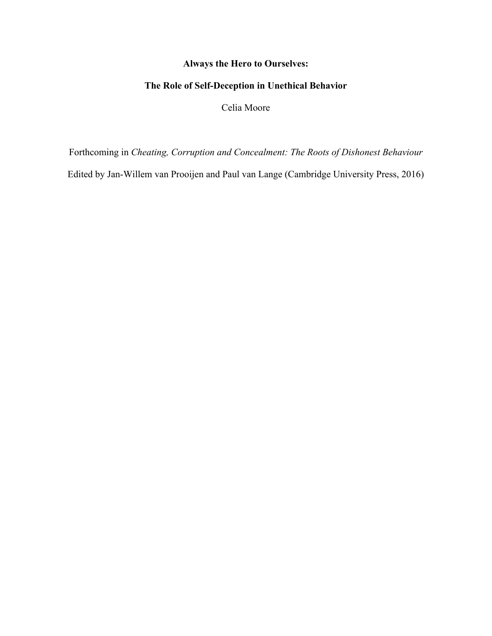## **Always the Hero to Ourselves:**

# **The Role of Self-Deception in Unethical Behavior**

Celia Moore

Forthcoming in *Cheating, Corruption and Concealment: The Roots of Dishonest Behaviour*

Edited by Jan-Willem van Prooijen and Paul van Lange (Cambridge University Press, 2016)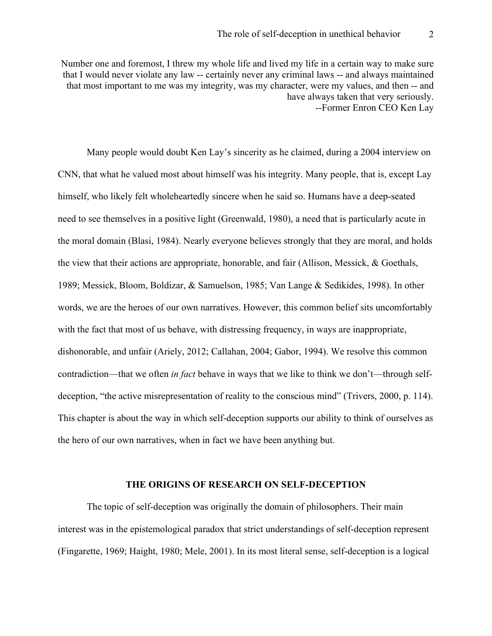Number one and foremost, I threw my whole life and lived my life in a certain way to make sure that I would never violate any law -- certainly never any criminal laws -- and always maintained that most important to me was my integrity, was my character, were my values, and then -- and have always taken that very seriously. --Former Enron CEO Ken Lay

Many people would doubt Ken Lay's sincerity as he claimed, during a 2004 interview on CNN, that what he valued most about himself was his integrity. Many people, that is, except Lay himself, who likely felt wholeheartedly sincere when he said so. Humans have a deep-seated need to see themselves in a positive light (Greenwald, 1980), a need that is particularly acute in the moral domain (Blasi, 1984). Nearly everyone believes strongly that they are moral, and holds the view that their actions are appropriate, honorable, and fair (Allison, Messick, & Goethals, 1989; Messick, Bloom, Boldizar, & Samuelson, 1985; Van Lange & Sedikides, 1998). In other words, we are the heroes of our own narratives. However, this common belief sits uncomfortably with the fact that most of us behave, with distressing frequency, in ways are inappropriate, dishonorable, and unfair (Ariely, 2012; Callahan, 2004; Gabor, 1994). We resolve this common contradiction—that we often *in fact* behave in ways that we like to think we don't—through selfdeception, "the active misrepresentation of reality to the conscious mind" (Trivers, 2000, p. 114). This chapter is about the way in which self-deception supports our ability to think of ourselves as the hero of our own narratives, when in fact we have been anything but.

#### **THE ORIGINS OF RESEARCH ON SELF-DECEPTION**

The topic of self-deception was originally the domain of philosophers. Their main interest was in the epistemological paradox that strict understandings of self-deception represent (Fingarette, 1969; Haight, 1980; Mele, 2001). In its most literal sense, self-deception is a logical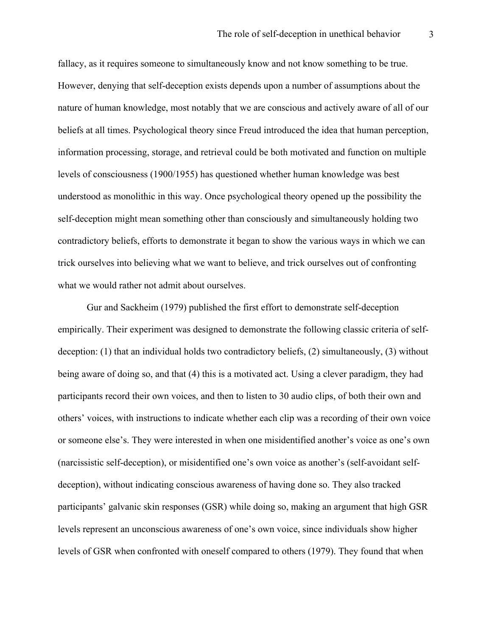fallacy, as it requires someone to simultaneously know and not know something to be true. However, denying that self-deception exists depends upon a number of assumptions about the nature of human knowledge, most notably that we are conscious and actively aware of all of our beliefs at all times. Psychological theory since Freud introduced the idea that human perception, information processing, storage, and retrieval could be both motivated and function on multiple levels of consciousness (1900/1955) has questioned whether human knowledge was best understood as monolithic in this way. Once psychological theory opened up the possibility the self-deception might mean something other than consciously and simultaneously holding two contradictory beliefs, efforts to demonstrate it began to show the various ways in which we can trick ourselves into believing what we want to believe, and trick ourselves out of confronting what we would rather not admit about ourselves.

Gur and Sackheim (1979) published the first effort to demonstrate self-deception empirically. Their experiment was designed to demonstrate the following classic criteria of selfdeception: (1) that an individual holds two contradictory beliefs, (2) simultaneously, (3) without being aware of doing so, and that (4) this is a motivated act. Using a clever paradigm, they had participants record their own voices, and then to listen to 30 audio clips, of both their own and others' voices, with instructions to indicate whether each clip was a recording of their own voice or someone else's. They were interested in when one misidentified another's voice as one's own (narcissistic self-deception), or misidentified one's own voice as another's (self-avoidant selfdeception), without indicating conscious awareness of having done so. They also tracked participants' galvanic skin responses (GSR) while doing so, making an argument that high GSR levels represent an unconscious awareness of one's own voice, since individuals show higher levels of GSR when confronted with oneself compared to others (1979). They found that when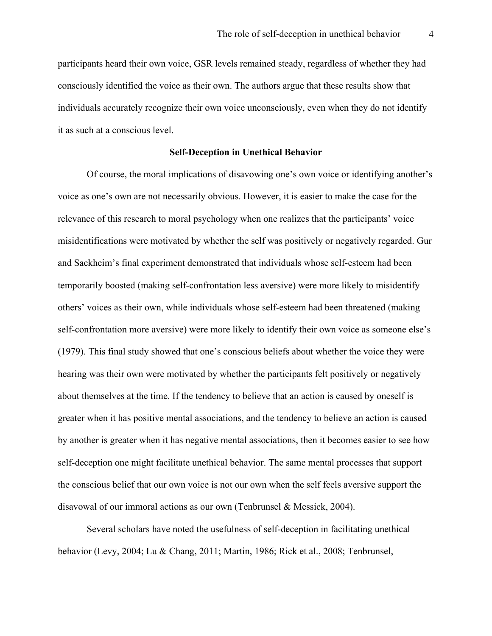participants heard their own voice, GSR levels remained steady, regardless of whether they had consciously identified the voice as their own. The authors argue that these results show that individuals accurately recognize their own voice unconsciously, even when they do not identify it as such at a conscious level.

#### **Self-Deception in Unethical Behavior**

Of course, the moral implications of disavowing one's own voice or identifying another's voice as one's own are not necessarily obvious. However, it is easier to make the case for the relevance of this research to moral psychology when one realizes that the participants' voice misidentifications were motivated by whether the self was positively or negatively regarded. Gur and Sackheim's final experiment demonstrated that individuals whose self-esteem had been temporarily boosted (making self-confrontation less aversive) were more likely to misidentify others' voices as their own, while individuals whose self-esteem had been threatened (making self-confrontation more aversive) were more likely to identify their own voice as someone else's (1979). This final study showed that one's conscious beliefs about whether the voice they were hearing was their own were motivated by whether the participants felt positively or negatively about themselves at the time. If the tendency to believe that an action is caused by oneself is greater when it has positive mental associations, and the tendency to believe an action is caused by another is greater when it has negative mental associations, then it becomes easier to see how self-deception one might facilitate unethical behavior. The same mental processes that support the conscious belief that our own voice is not our own when the self feels aversive support the disavowal of our immoral actions as our own (Tenbrunsel & Messick, 2004).

Several scholars have noted the usefulness of self-deception in facilitating unethical behavior (Levy, 2004; Lu & Chang, 2011; Martin, 1986; Rick et al., 2008; Tenbrunsel,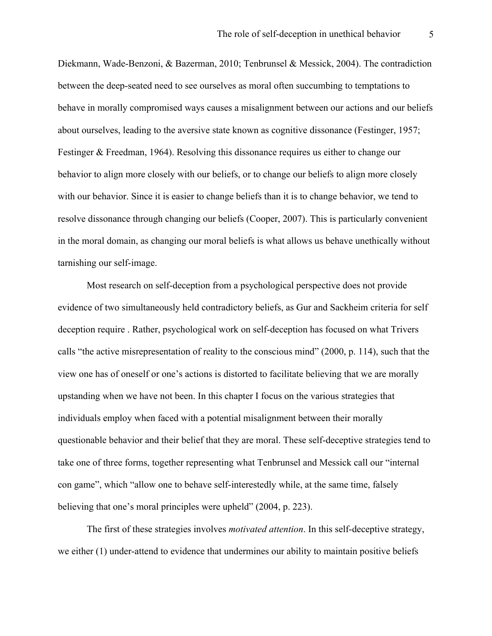Diekmann, Wade-Benzoni, & Bazerman, 2010; Tenbrunsel & Messick, 2004). The contradiction between the deep-seated need to see ourselves as moral often succumbing to temptations to behave in morally compromised ways causes a misalignment between our actions and our beliefs about ourselves, leading to the aversive state known as cognitive dissonance (Festinger, 1957; Festinger & Freedman, 1964). Resolving this dissonance requires us either to change our behavior to align more closely with our beliefs, or to change our beliefs to align more closely with our behavior. Since it is easier to change beliefs than it is to change behavior, we tend to resolve dissonance through changing our beliefs (Cooper, 2007). This is particularly convenient in the moral domain, as changing our moral beliefs is what allows us behave unethically without tarnishing our self-image.

Most research on self-deception from a psychological perspective does not provide evidence of two simultaneously held contradictory beliefs, as Gur and Sackheim criteria for self deception require . Rather, psychological work on self-deception has focused on what Trivers calls "the active misrepresentation of reality to the conscious mind" (2000, p. 114), such that the view one has of oneself or one's actions is distorted to facilitate believing that we are morally upstanding when we have not been. In this chapter I focus on the various strategies that individuals employ when faced with a potential misalignment between their morally questionable behavior and their belief that they are moral. These self-deceptive strategies tend to take one of three forms, together representing what Tenbrunsel and Messick call our "internal con game", which "allow one to behave self-interestedly while, at the same time, falsely believing that one's moral principles were upheld" (2004, p. 223).

The first of these strategies involves *motivated attention*. In this self-deceptive strategy, we either (1) under-attend to evidence that undermines our ability to maintain positive beliefs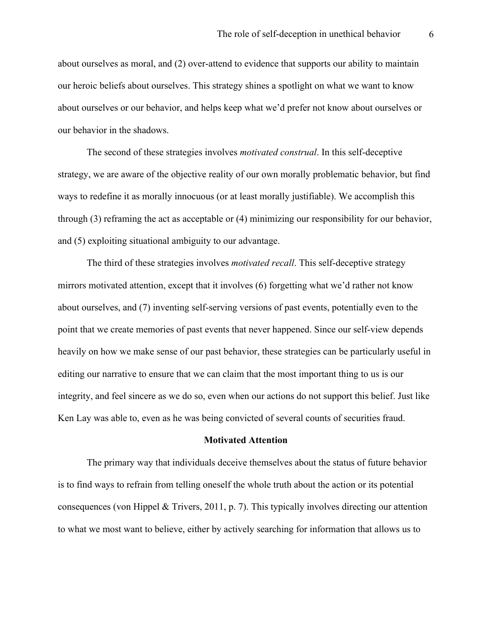about ourselves as moral, and (2) over-attend to evidence that supports our ability to maintain our heroic beliefs about ourselves. This strategy shines a spotlight on what we want to know about ourselves or our behavior, and helps keep what we'd prefer not know about ourselves or our behavior in the shadows.

The second of these strategies involves *motivated construal*. In this self-deceptive strategy, we are aware of the objective reality of our own morally problematic behavior, but find ways to redefine it as morally innocuous (or at least morally justifiable). We accomplish this through (3) reframing the act as acceptable or (4) minimizing our responsibility for our behavior, and (5) exploiting situational ambiguity to our advantage.

The third of these strategies involves *motivated recall*. This self-deceptive strategy mirrors motivated attention, except that it involves (6) forgetting what we'd rather not know about ourselves, and (7) inventing self-serving versions of past events, potentially even to the point that we create memories of past events that never happened. Since our self-view depends heavily on how we make sense of our past behavior, these strategies can be particularly useful in editing our narrative to ensure that we can claim that the most important thing to us is our integrity, and feel sincere as we do so, even when our actions do not support this belief. Just like Ken Lay was able to, even as he was being convicted of several counts of securities fraud.

### **Motivated Attention**

The primary way that individuals deceive themselves about the status of future behavior is to find ways to refrain from telling oneself the whole truth about the action or its potential consequences (von Hippel & Trivers, 2011, p. 7). This typically involves directing our attention to what we most want to believe, either by actively searching for information that allows us to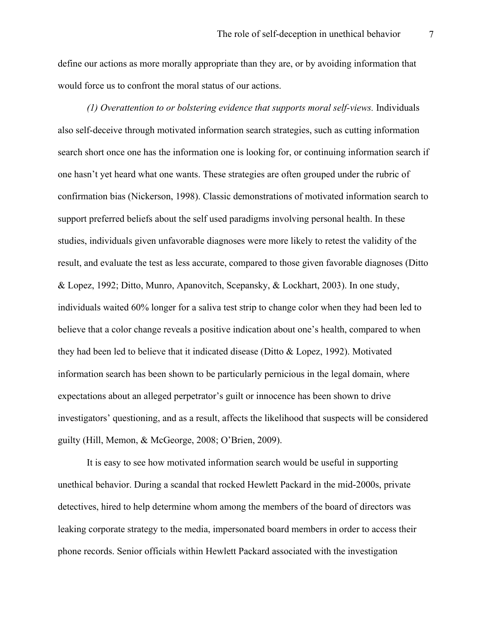define our actions as more morally appropriate than they are, or by avoiding information that would force us to confront the moral status of our actions.

*(1) Overattention to or bolstering evidence that supports moral self-views.* Individuals also self-deceive through motivated information search strategies, such as cutting information search short once one has the information one is looking for, or continuing information search if one hasn't yet heard what one wants. These strategies are often grouped under the rubric of confirmation bias (Nickerson, 1998). Classic demonstrations of motivated information search to support preferred beliefs about the self used paradigms involving personal health. In these studies, individuals given unfavorable diagnoses were more likely to retest the validity of the result, and evaluate the test as less accurate, compared to those given favorable diagnoses (Ditto & Lopez, 1992; Ditto, Munro, Apanovitch, Scepansky, & Lockhart, 2003). In one study, individuals waited 60% longer for a saliva test strip to change color when they had been led to believe that a color change reveals a positive indication about one's health, compared to when they had been led to believe that it indicated disease (Ditto & Lopez, 1992). Motivated information search has been shown to be particularly pernicious in the legal domain, where expectations about an alleged perpetrator's guilt or innocence has been shown to drive investigators' questioning, and as a result, affects the likelihood that suspects will be considered guilty (Hill, Memon, & McGeorge, 2008; O'Brien, 2009).

It is easy to see how motivated information search would be useful in supporting unethical behavior. During a scandal that rocked Hewlett Packard in the mid-2000s, private detectives, hired to help determine whom among the members of the board of directors was leaking corporate strategy to the media, impersonated board members in order to access their phone records. Senior officials within Hewlett Packard associated with the investigation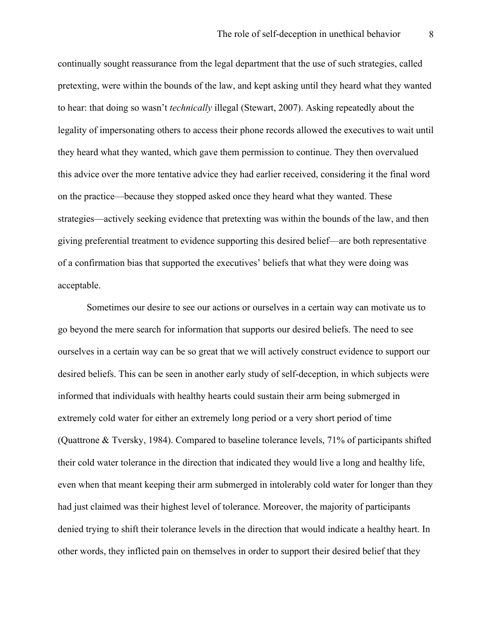continually sought reassurance from the legal department that the use of such strategies, called pretexting, were within the bounds of the law, and kept asking until they heard what they wanted to hear: that doing so wasn't *technically* illegal (Stewart, 2007). Asking repeatedly about the legality of impersonating others to access their phone records allowed the executives to wait until they heard what they wanted, which gave them permission to continue. They then overvalued this advice over the more tentative advice they had earlier received, considering it the final word on the practice—because they stopped asked once they heard what they wanted. These strategies—actively seeking evidence that pretexting was within the bounds of the law, and then giving preferential treatment to evidence supporting this desired belief—are both representative of a confirmation bias that supported the executives' beliefs that what they were doing was acceptable.

Sometimes our desire to see our actions or ourselves in a certain way can motivate us to go beyond the mere search for information that supports our desired beliefs. The need to see ourselves in a certain way can be so great that we will actively construct evidence to support our desired beliefs. This can be seen in another early study of self-deception, in which subjects were informed that individuals with healthy hearts could sustain their arm being submerged in extremely cold water for either an extremely long period or a very short period of time (Quattrone & Tversky, 1984). Compared to baseline tolerance levels, 71% of participants shifted their cold water tolerance in the direction that indicated they would live a long and healthy life, even when that meant keeping their arm submerged in intolerably cold water for longer than they had just claimed was their highest level of tolerance. Moreover, the majority of participants denied trying to shift their tolerance levels in the direction that would indicate a healthy heart. In other words, they inflicted pain on themselves in order to support their desired belief that they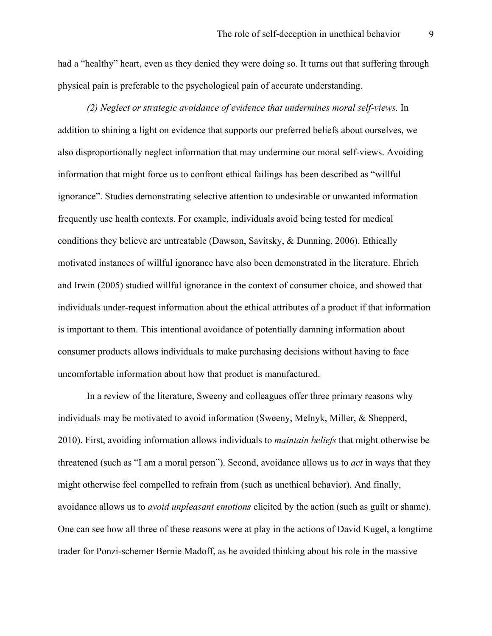had a "healthy" heart, even as they denied they were doing so. It turns out that suffering through physical pain is preferable to the psychological pain of accurate understanding.

*(2) Neglect or strategic avoidance of evidence that undermines moral self-views.* In addition to shining a light on evidence that supports our preferred beliefs about ourselves, we also disproportionally neglect information that may undermine our moral self-views. Avoiding information that might force us to confront ethical failings has been described as "willful ignorance". Studies demonstrating selective attention to undesirable or unwanted information frequently use health contexts. For example, individuals avoid being tested for medical conditions they believe are untreatable (Dawson, Savitsky, & Dunning, 2006). Ethically motivated instances of willful ignorance have also been demonstrated in the literature. Ehrich and Irwin (2005) studied willful ignorance in the context of consumer choice, and showed that individuals under-request information about the ethical attributes of a product if that information is important to them. This intentional avoidance of potentially damning information about consumer products allows individuals to make purchasing decisions without having to face uncomfortable information about how that product is manufactured.

In a review of the literature, Sweeny and colleagues offer three primary reasons why individuals may be motivated to avoid information (Sweeny, Melnyk, Miller, & Shepperd, 2010). First, avoiding information allows individuals to *maintain beliefs* that might otherwise be threatened (such as "I am a moral person"). Second, avoidance allows us to *act* in ways that they might otherwise feel compelled to refrain from (such as unethical behavior). And finally, avoidance allows us to *avoid unpleasant emotions* elicited by the action (such as guilt or shame). One can see how all three of these reasons were at play in the actions of David Kugel, a longtime trader for Ponzi-schemer Bernie Madoff, as he avoided thinking about his role in the massive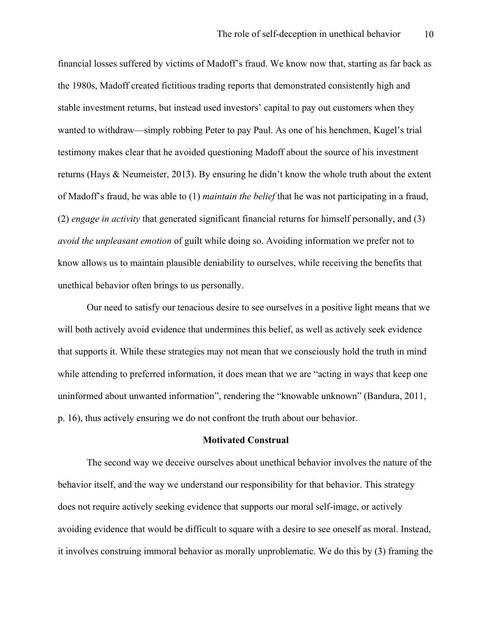financial losses suffered by victims of Madoff's fraud. We know now that, starting as far back as the 1980s, Madoff created fictitious trading reports that demonstrated consistently high and stable investment returns, but instead used investors' capital to pay out customers when they wanted to withdraw—simply robbing Peter to pay Paul. As one of his henchmen, Kugel's trial testimony makes clear that he avoided questioning Madoff about the source of his investment returns (Hays & Neumeister, 2013). By ensuring he didn't know the whole truth about the extent of Madoff's fraud, he was able to (1) *maintain the belief* that he was not participating in a fraud, (2) *engage in activity* that generated significant financial returns for himself personally, and (3) *avoid the unpleasant emotion* of guilt while doing so. Avoiding information we prefer not to know allows us to maintain plausible deniability to ourselves, while receiving the benefits that unethical behavior often brings to us personally.

Our need to satisfy our tenacious desire to see ourselves in a positive light means that we will both actively avoid evidence that undermines this belief, as well as actively seek evidence that supports it. While these strategies may not mean that we consciously hold the truth in mind while attending to preferred information, it does mean that we are "acting in ways that keep one uninformed about unwanted information", rendering the "knowable unknown" (Bandura, 2011, p. 16), thus actively ensuring we do not confront the truth about our behavior.

### **Motivated Construal**

The second way we deceive ourselves about unethical behavior involves the nature of the behavior itself, and the way we understand our responsibility for that behavior. This strategy does not require actively seeking evidence that supports our moral self-image, or actively avoiding evidence that would be difficult to square with a desire to see oneself as moral. Instead, it involves construing immoral behavior as morally unproblematic. We do this by (3) framing the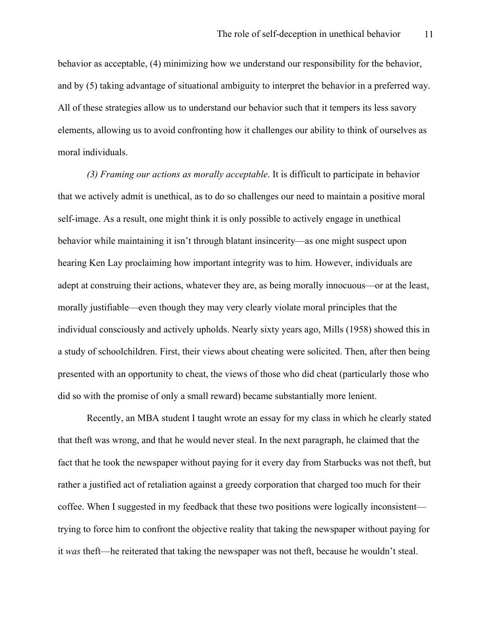behavior as acceptable, (4) minimizing how we understand our responsibility for the behavior, and by (5) taking advantage of situational ambiguity to interpret the behavior in a preferred way. All of these strategies allow us to understand our behavior such that it tempers its less savory elements, allowing us to avoid confronting how it challenges our ability to think of ourselves as moral individuals.

*(3) Framing our actions as morally acceptable*. It is difficult to participate in behavior that we actively admit is unethical, as to do so challenges our need to maintain a positive moral self-image. As a result, one might think it is only possible to actively engage in unethical behavior while maintaining it isn't through blatant insincerity—as one might suspect upon hearing Ken Lay proclaiming how important integrity was to him. However, individuals are adept at construing their actions, whatever they are, as being morally innocuous—or at the least, morally justifiable—even though they may very clearly violate moral principles that the individual consciously and actively upholds. Nearly sixty years ago, Mills (1958) showed this in a study of schoolchildren. First, their views about cheating were solicited. Then, after then being presented with an opportunity to cheat, the views of those who did cheat (particularly those who did so with the promise of only a small reward) became substantially more lenient.

Recently, an MBA student I taught wrote an essay for my class in which he clearly stated that theft was wrong, and that he would never steal. In the next paragraph, he claimed that the fact that he took the newspaper without paying for it every day from Starbucks was not theft, but rather a justified act of retaliation against a greedy corporation that charged too much for their coffee. When I suggested in my feedback that these two positions were logically inconsistent trying to force him to confront the objective reality that taking the newspaper without paying for it *was* theft—he reiterated that taking the newspaper was not theft, because he wouldn't steal.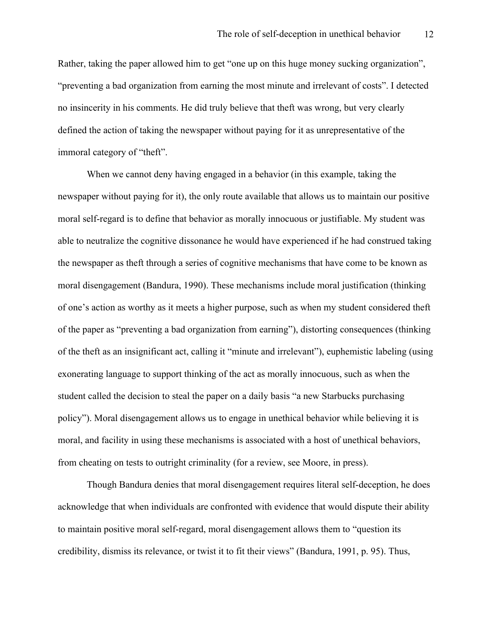Rather, taking the paper allowed him to get "one up on this huge money sucking organization", "preventing a bad organization from earning the most minute and irrelevant of costs". I detected no insincerity in his comments. He did truly believe that theft was wrong, but very clearly defined the action of taking the newspaper without paying for it as unrepresentative of the immoral category of "theft".

When we cannot deny having engaged in a behavior (in this example, taking the newspaper without paying for it), the only route available that allows us to maintain our positive moral self-regard is to define that behavior as morally innocuous or justifiable. My student was able to neutralize the cognitive dissonance he would have experienced if he had construed taking the newspaper as theft through a series of cognitive mechanisms that have come to be known as moral disengagement (Bandura, 1990). These mechanisms include moral justification (thinking of one's action as worthy as it meets a higher purpose, such as when my student considered theft of the paper as "preventing a bad organization from earning"), distorting consequences (thinking of the theft as an insignificant act, calling it "minute and irrelevant"), euphemistic labeling (using exonerating language to support thinking of the act as morally innocuous, such as when the student called the decision to steal the paper on a daily basis "a new Starbucks purchasing policy"). Moral disengagement allows us to engage in unethical behavior while believing it is moral, and facility in using these mechanisms is associated with a host of unethical behaviors, from cheating on tests to outright criminality (for a review, see Moore, in press).

Though Bandura denies that moral disengagement requires literal self-deception, he does acknowledge that when individuals are confronted with evidence that would dispute their ability to maintain positive moral self-regard, moral disengagement allows them to "question its credibility, dismiss its relevance, or twist it to fit their views" (Bandura, 1991, p. 95). Thus,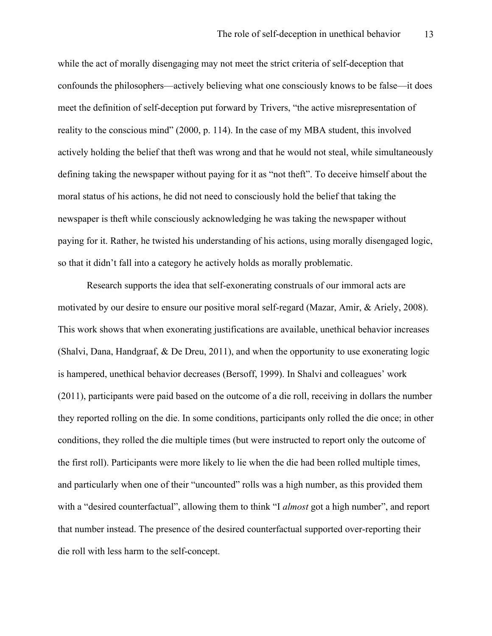while the act of morally disengaging may not meet the strict criteria of self-deception that confounds the philosophers—actively believing what one consciously knows to be false—it does meet the definition of self-deception put forward by Trivers, "the active misrepresentation of reality to the conscious mind" (2000, p. 114). In the case of my MBA student, this involved actively holding the belief that theft was wrong and that he would not steal, while simultaneously defining taking the newspaper without paying for it as "not theft". To deceive himself about the moral status of his actions, he did not need to consciously hold the belief that taking the newspaper is theft while consciously acknowledging he was taking the newspaper without paying for it. Rather, he twisted his understanding of his actions, using morally disengaged logic, so that it didn't fall into a category he actively holds as morally problematic.

Research supports the idea that self-exonerating construals of our immoral acts are motivated by our desire to ensure our positive moral self-regard (Mazar, Amir, & Ariely, 2008). This work shows that when exonerating justifications are available, unethical behavior increases (Shalvi, Dana, Handgraaf, & De Dreu, 2011), and when the opportunity to use exonerating logic is hampered, unethical behavior decreases (Bersoff, 1999). In Shalvi and colleagues' work (2011), participants were paid based on the outcome of a die roll, receiving in dollars the number they reported rolling on the die. In some conditions, participants only rolled the die once; in other conditions, they rolled the die multiple times (but were instructed to report only the outcome of the first roll). Participants were more likely to lie when the die had been rolled multiple times, and particularly when one of their "uncounted" rolls was a high number, as this provided them with a "desired counterfactual", allowing them to think "I *almost* got a high number", and report that number instead. The presence of the desired counterfactual supported over-reporting their die roll with less harm to the self-concept.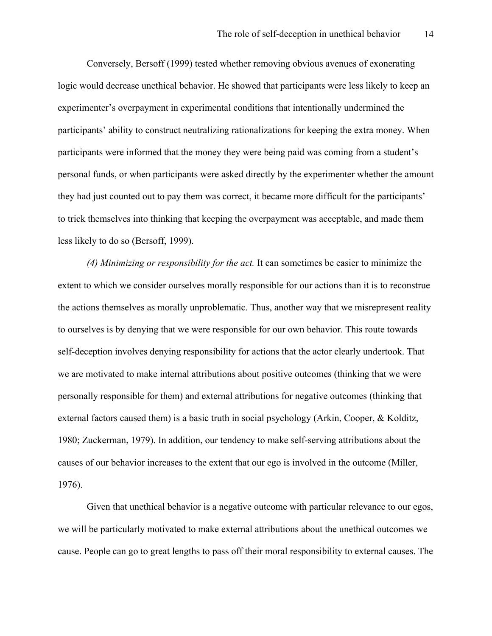Conversely, Bersoff (1999) tested whether removing obvious avenues of exonerating logic would decrease unethical behavior. He showed that participants were less likely to keep an experimenter's overpayment in experimental conditions that intentionally undermined the participants' ability to construct neutralizing rationalizations for keeping the extra money. When participants were informed that the money they were being paid was coming from a student's personal funds, or when participants were asked directly by the experimenter whether the amount they had just counted out to pay them was correct, it became more difficult for the participants' to trick themselves into thinking that keeping the overpayment was acceptable, and made them less likely to do so (Bersoff, 1999).

*(4) Minimizing or responsibility for the act.* It can sometimes be easier to minimize the extent to which we consider ourselves morally responsible for our actions than it is to reconstrue the actions themselves as morally unproblematic. Thus, another way that we misrepresent reality to ourselves is by denying that we were responsible for our own behavior. This route towards self-deception involves denying responsibility for actions that the actor clearly undertook. That we are motivated to make internal attributions about positive outcomes (thinking that we were personally responsible for them) and external attributions for negative outcomes (thinking that external factors caused them) is a basic truth in social psychology (Arkin, Cooper, & Kolditz, 1980; Zuckerman, 1979). In addition, our tendency to make self-serving attributions about the causes of our behavior increases to the extent that our ego is involved in the outcome (Miller, 1976).

Given that unethical behavior is a negative outcome with particular relevance to our egos, we will be particularly motivated to make external attributions about the unethical outcomes we cause. People can go to great lengths to pass off their moral responsibility to external causes. The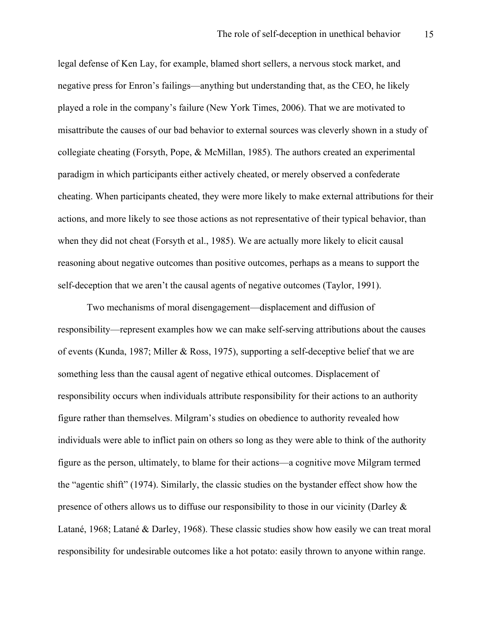legal defense of Ken Lay, for example, blamed short sellers, a nervous stock market, and negative press for Enron's failings—anything but understanding that, as the CEO, he likely played a role in the company's failure (New York Times, 2006). That we are motivated to misattribute the causes of our bad behavior to external sources was cleverly shown in a study of collegiate cheating (Forsyth, Pope, & McMillan, 1985). The authors created an experimental paradigm in which participants either actively cheated, or merely observed a confederate cheating. When participants cheated, they were more likely to make external attributions for their actions, and more likely to see those actions as not representative of their typical behavior, than when they did not cheat (Forsyth et al., 1985). We are actually more likely to elicit causal reasoning about negative outcomes than positive outcomes, perhaps as a means to support the self-deception that we aren't the causal agents of negative outcomes (Taylor, 1991).

Two mechanisms of moral disengagement—displacement and diffusion of responsibility—represent examples how we can make self-serving attributions about the causes of events (Kunda, 1987; Miller & Ross, 1975), supporting a self-deceptive belief that we are something less than the causal agent of negative ethical outcomes. Displacement of responsibility occurs when individuals attribute responsibility for their actions to an authority figure rather than themselves. Milgram's studies on obedience to authority revealed how individuals were able to inflict pain on others so long as they were able to think of the authority figure as the person, ultimately, to blame for their actions—a cognitive move Milgram termed the "agentic shift" (1974). Similarly, the classic studies on the bystander effect show how the presence of others allows us to diffuse our responsibility to those in our vicinity (Darley  $\&$ Latané, 1968; Latané & Darley, 1968). These classic studies show how easily we can treat moral responsibility for undesirable outcomes like a hot potato: easily thrown to anyone within range.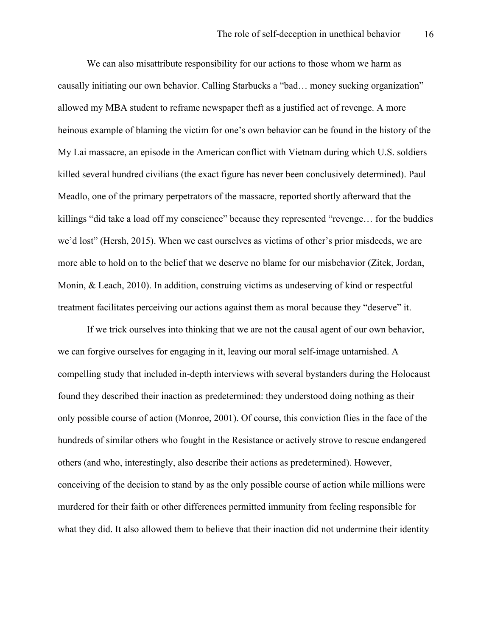We can also misattribute responsibility for our actions to those whom we harm as causally initiating our own behavior. Calling Starbucks a "bad… money sucking organization" allowed my MBA student to reframe newspaper theft as a justified act of revenge. A more heinous example of blaming the victim for one's own behavior can be found in the history of the My Lai massacre, an episode in the American conflict with Vietnam during which U.S. soldiers killed several hundred civilians (the exact figure has never been conclusively determined). Paul Meadlo, one of the primary perpetrators of the massacre, reported shortly afterward that the killings "did take a load off my conscience" because they represented "revenge… for the buddies we'd lost" (Hersh, 2015). When we cast ourselves as victims of other's prior misdeeds, we are more able to hold on to the belief that we deserve no blame for our misbehavior (Zitek, Jordan, Monin, & Leach, 2010). In addition, construing victims as undeserving of kind or respectful treatment facilitates perceiving our actions against them as moral because they "deserve" it.

If we trick ourselves into thinking that we are not the causal agent of our own behavior, we can forgive ourselves for engaging in it, leaving our moral self-image untarnished. A compelling study that included in-depth interviews with several bystanders during the Holocaust found they described their inaction as predetermined: they understood doing nothing as their only possible course of action (Monroe, 2001). Of course, this conviction flies in the face of the hundreds of similar others who fought in the Resistance or actively strove to rescue endangered others (and who, interestingly, also describe their actions as predetermined). However, conceiving of the decision to stand by as the only possible course of action while millions were murdered for their faith or other differences permitted immunity from feeling responsible for what they did. It also allowed them to believe that their inaction did not undermine their identity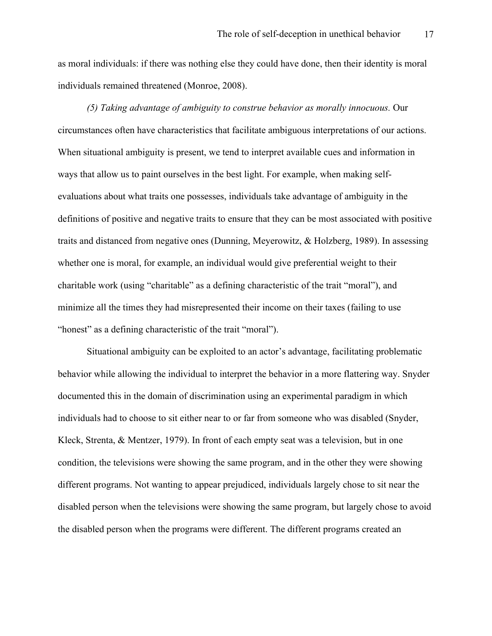as moral individuals: if there was nothing else they could have done, then their identity is moral individuals remained threatened (Monroe, 2008).

*(5) Taking advantage of ambiguity to construe behavior as morally innocuous.* Our circumstances often have characteristics that facilitate ambiguous interpretations of our actions. When situational ambiguity is present, we tend to interpret available cues and information in ways that allow us to paint ourselves in the best light. For example, when making selfevaluations about what traits one possesses, individuals take advantage of ambiguity in the definitions of positive and negative traits to ensure that they can be most associated with positive traits and distanced from negative ones (Dunning, Meyerowitz, & Holzberg, 1989). In assessing whether one is moral, for example, an individual would give preferential weight to their charitable work (using "charitable" as a defining characteristic of the trait "moral"), and minimize all the times they had misrepresented their income on their taxes (failing to use "honest" as a defining characteristic of the trait "moral").

Situational ambiguity can be exploited to an actor's advantage, facilitating problematic behavior while allowing the individual to interpret the behavior in a more flattering way. Snyder documented this in the domain of discrimination using an experimental paradigm in which individuals had to choose to sit either near to or far from someone who was disabled (Snyder, Kleck, Strenta, & Mentzer, 1979). In front of each empty seat was a television, but in one condition, the televisions were showing the same program, and in the other they were showing different programs. Not wanting to appear prejudiced, individuals largely chose to sit near the disabled person when the televisions were showing the same program, but largely chose to avoid the disabled person when the programs were different. The different programs created an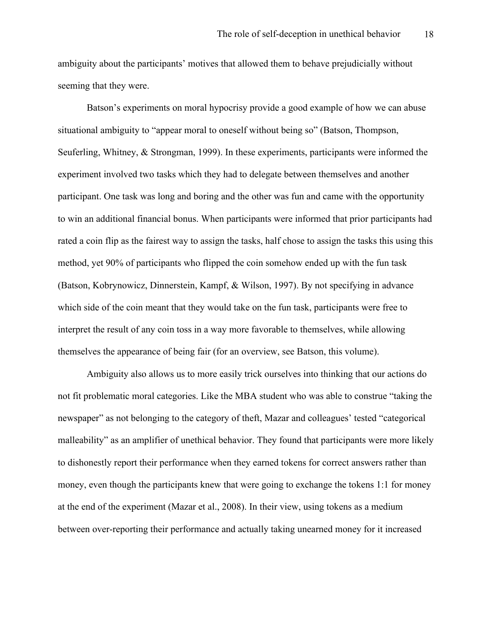ambiguity about the participants' motives that allowed them to behave prejudicially without seeming that they were.

Batson's experiments on moral hypocrisy provide a good example of how we can abuse situational ambiguity to "appear moral to oneself without being so" (Batson, Thompson, Seuferling, Whitney, & Strongman, 1999). In these experiments, participants were informed the experiment involved two tasks which they had to delegate between themselves and another participant. One task was long and boring and the other was fun and came with the opportunity to win an additional financial bonus. When participants were informed that prior participants had rated a coin flip as the fairest way to assign the tasks, half chose to assign the tasks this using this method, yet 90% of participants who flipped the coin somehow ended up with the fun task (Batson, Kobrynowicz, Dinnerstein, Kampf, & Wilson, 1997). By not specifying in advance which side of the coin meant that they would take on the fun task, participants were free to interpret the result of any coin toss in a way more favorable to themselves, while allowing themselves the appearance of being fair (for an overview, see Batson, this volume).

Ambiguity also allows us to more easily trick ourselves into thinking that our actions do not fit problematic moral categories. Like the MBA student who was able to construe "taking the newspaper" as not belonging to the category of theft, Mazar and colleagues' tested "categorical malleability" as an amplifier of unethical behavior. They found that participants were more likely to dishonestly report their performance when they earned tokens for correct answers rather than money, even though the participants knew that were going to exchange the tokens 1:1 for money at the end of the experiment (Mazar et al., 2008). In their view, using tokens as a medium between over-reporting their performance and actually taking unearned money for it increased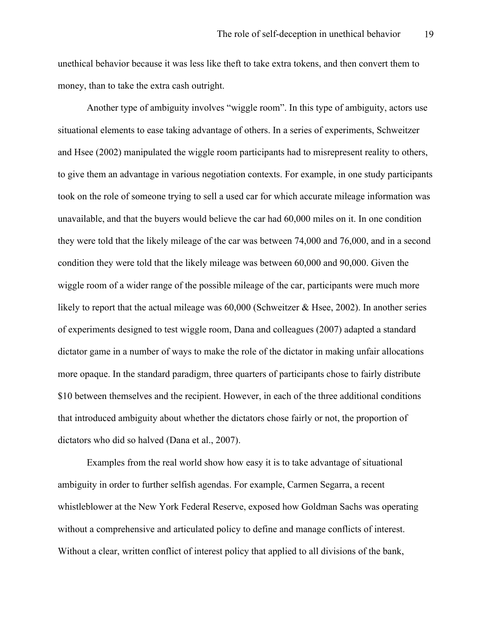unethical behavior because it was less like theft to take extra tokens, and then convert them to money, than to take the extra cash outright.

Another type of ambiguity involves "wiggle room". In this type of ambiguity, actors use situational elements to ease taking advantage of others. In a series of experiments, Schweitzer and Hsee (2002) manipulated the wiggle room participants had to misrepresent reality to others, to give them an advantage in various negotiation contexts. For example, in one study participants took on the role of someone trying to sell a used car for which accurate mileage information was unavailable, and that the buyers would believe the car had 60,000 miles on it. In one condition they were told that the likely mileage of the car was between 74,000 and 76,000, and in a second condition they were told that the likely mileage was between 60,000 and 90,000. Given the wiggle room of a wider range of the possible mileage of the car, participants were much more likely to report that the actual mileage was 60,000 (Schweitzer & Hsee, 2002). In another series of experiments designed to test wiggle room, Dana and colleagues (2007) adapted a standard dictator game in a number of ways to make the role of the dictator in making unfair allocations more opaque. In the standard paradigm, three quarters of participants chose to fairly distribute \$10 between themselves and the recipient. However, in each of the three additional conditions that introduced ambiguity about whether the dictators chose fairly or not, the proportion of dictators who did so halved (Dana et al., 2007).

Examples from the real world show how easy it is to take advantage of situational ambiguity in order to further selfish agendas. For example, Carmen Segarra, a recent whistleblower at the New York Federal Reserve, exposed how Goldman Sachs was operating without a comprehensive and articulated policy to define and manage conflicts of interest. Without a clear, written conflict of interest policy that applied to all divisions of the bank,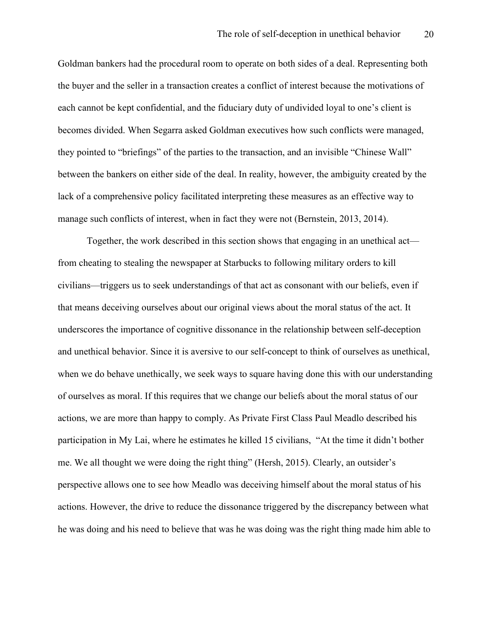Goldman bankers had the procedural room to operate on both sides of a deal. Representing both the buyer and the seller in a transaction creates a conflict of interest because the motivations of each cannot be kept confidential, and the fiduciary duty of undivided loyal to one's client is becomes divided. When Segarra asked Goldman executives how such conflicts were managed, they pointed to "briefings" of the parties to the transaction, and an invisible "Chinese Wall" between the bankers on either side of the deal. In reality, however, the ambiguity created by the lack of a comprehensive policy facilitated interpreting these measures as an effective way to manage such conflicts of interest, when in fact they were not (Bernstein, 2013, 2014).

Together, the work described in this section shows that engaging in an unethical act from cheating to stealing the newspaper at Starbucks to following military orders to kill civilians—triggers us to seek understandings of that act as consonant with our beliefs, even if that means deceiving ourselves about our original views about the moral status of the act. It underscores the importance of cognitive dissonance in the relationship between self-deception and unethical behavior. Since it is aversive to our self-concept to think of ourselves as unethical, when we do behave unethically, we seek ways to square having done this with our understanding of ourselves as moral. If this requires that we change our beliefs about the moral status of our actions, we are more than happy to comply. As Private First Class Paul Meadlo described his participation in My Lai, where he estimates he killed 15 civilians, "At the time it didn't bother me. We all thought we were doing the right thing" (Hersh, 2015). Clearly, an outsider's perspective allows one to see how Meadlo was deceiving himself about the moral status of his actions. However, the drive to reduce the dissonance triggered by the discrepancy between what he was doing and his need to believe that was he was doing was the right thing made him able to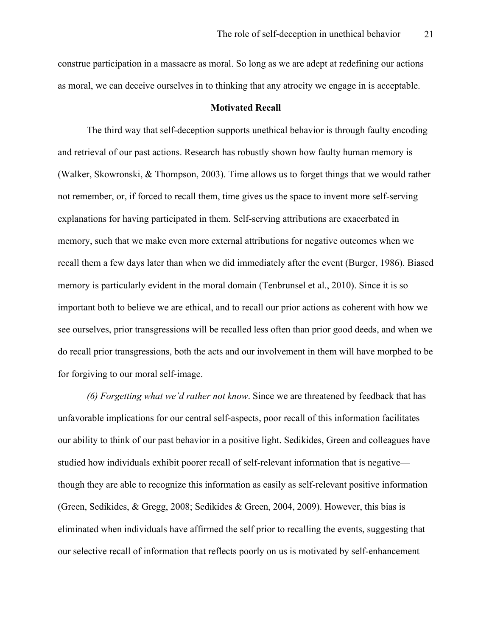construe participation in a massacre as moral. So long as we are adept at redefining our actions as moral, we can deceive ourselves in to thinking that any atrocity we engage in is acceptable.

## **Motivated Recall**

The third way that self-deception supports unethical behavior is through faulty encoding and retrieval of our past actions. Research has robustly shown how faulty human memory is (Walker, Skowronski, & Thompson, 2003). Time allows us to forget things that we would rather not remember, or, if forced to recall them, time gives us the space to invent more self-serving explanations for having participated in them. Self-serving attributions are exacerbated in memory, such that we make even more external attributions for negative outcomes when we recall them a few days later than when we did immediately after the event (Burger, 1986). Biased memory is particularly evident in the moral domain (Tenbrunsel et al., 2010). Since it is so important both to believe we are ethical, and to recall our prior actions as coherent with how we see ourselves, prior transgressions will be recalled less often than prior good deeds, and when we do recall prior transgressions, both the acts and our involvement in them will have morphed to be for forgiving to our moral self-image.

*(6) Forgetting what we'd rather not know*. Since we are threatened by feedback that has unfavorable implications for our central self-aspects, poor recall of this information facilitates our ability to think of our past behavior in a positive light. Sedikides, Green and colleagues have studied how individuals exhibit poorer recall of self-relevant information that is negative though they are able to recognize this information as easily as self-relevant positive information (Green, Sedikides, & Gregg, 2008; Sedikides & Green, 2004, 2009). However, this bias is eliminated when individuals have affirmed the self prior to recalling the events, suggesting that our selective recall of information that reflects poorly on us is motivated by self-enhancement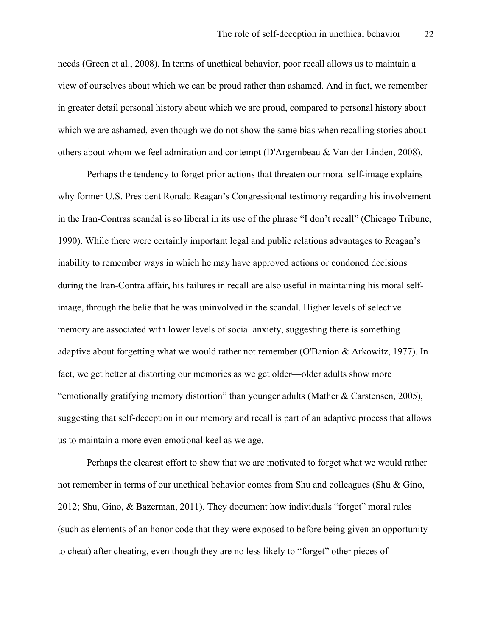needs (Green et al., 2008). In terms of unethical behavior, poor recall allows us to maintain a view of ourselves about which we can be proud rather than ashamed. And in fact, we remember in greater detail personal history about which we are proud, compared to personal history about which we are ashamed, even though we do not show the same bias when recalling stories about others about whom we feel admiration and contempt (D'Argembeau & Van der Linden, 2008).

Perhaps the tendency to forget prior actions that threaten our moral self-image explains why former U.S. President Ronald Reagan's Congressional testimony regarding his involvement in the Iran-Contras scandal is so liberal in its use of the phrase "I don't recall" (Chicago Tribune, 1990). While there were certainly important legal and public relations advantages to Reagan's inability to remember ways in which he may have approved actions or condoned decisions during the Iran-Contra affair, his failures in recall are also useful in maintaining his moral selfimage, through the belie that he was uninvolved in the scandal. Higher levels of selective memory are associated with lower levels of social anxiety, suggesting there is something adaptive about forgetting what we would rather not remember (O'Banion & Arkowitz, 1977). In fact, we get better at distorting our memories as we get older—older adults show more "emotionally gratifying memory distortion" than younger adults (Mather & Carstensen, 2005), suggesting that self-deception in our memory and recall is part of an adaptive process that allows us to maintain a more even emotional keel as we age.

Perhaps the clearest effort to show that we are motivated to forget what we would rather not remember in terms of our unethical behavior comes from Shu and colleagues (Shu & Gino, 2012; Shu, Gino, & Bazerman, 2011). They document how individuals "forget" moral rules (such as elements of an honor code that they were exposed to before being given an opportunity to cheat) after cheating, even though they are no less likely to "forget" other pieces of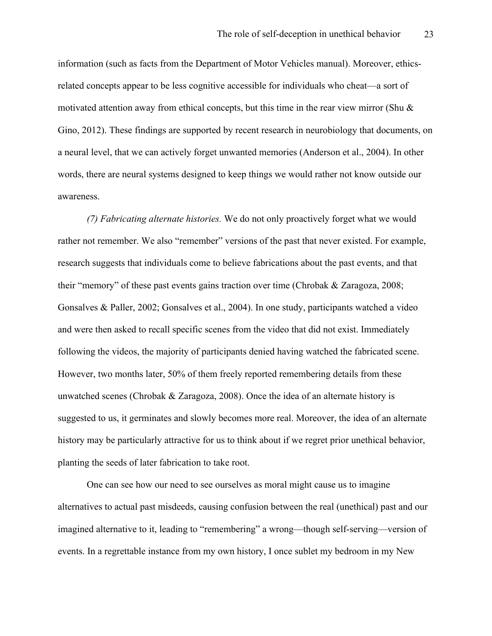information (such as facts from the Department of Motor Vehicles manual). Moreover, ethicsrelated concepts appear to be less cognitive accessible for individuals who cheat—a sort of motivated attention away from ethical concepts, but this time in the rear view mirror (Shu  $\&$ Gino, 2012). These findings are supported by recent research in neurobiology that documents, on a neural level, that we can actively forget unwanted memories (Anderson et al., 2004). In other words, there are neural systems designed to keep things we would rather not know outside our awareness.

*(7) Fabricating alternate histories.* We do not only proactively forget what we would rather not remember. We also "remember" versions of the past that never existed. For example, research suggests that individuals come to believe fabrications about the past events, and that their "memory" of these past events gains traction over time (Chrobak & Zaragoza, 2008; Gonsalves & Paller, 2002; Gonsalves et al., 2004). In one study, participants watched a video and were then asked to recall specific scenes from the video that did not exist. Immediately following the videos, the majority of participants denied having watched the fabricated scene. However, two months later, 50% of them freely reported remembering details from these unwatched scenes (Chrobak & Zaragoza, 2008). Once the idea of an alternate history is suggested to us, it germinates and slowly becomes more real. Moreover, the idea of an alternate history may be particularly attractive for us to think about if we regret prior unethical behavior, planting the seeds of later fabrication to take root.

One can see how our need to see ourselves as moral might cause us to imagine alternatives to actual past misdeeds, causing confusion between the real (unethical) past and our imagined alternative to it, leading to "remembering" a wrong—though self-serving—version of events. In a regrettable instance from my own history, I once sublet my bedroom in my New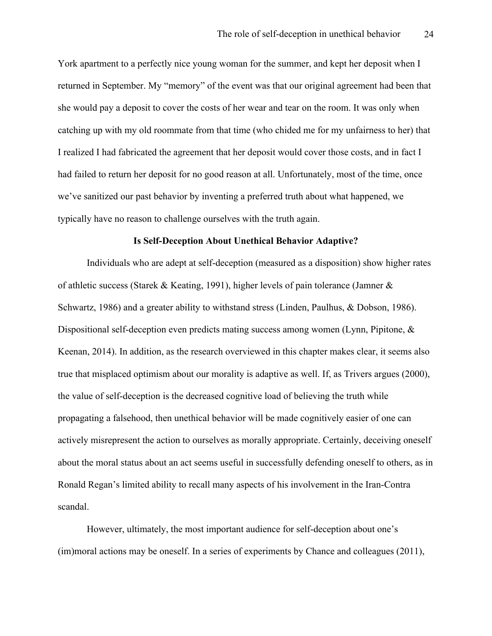York apartment to a perfectly nice young woman for the summer, and kept her deposit when I returned in September. My "memory" of the event was that our original agreement had been that she would pay a deposit to cover the costs of her wear and tear on the room. It was only when catching up with my old roommate from that time (who chided me for my unfairness to her) that I realized I had fabricated the agreement that her deposit would cover those costs, and in fact I had failed to return her deposit for no good reason at all. Unfortunately, most of the time, once we've sanitized our past behavior by inventing a preferred truth about what happened, we typically have no reason to challenge ourselves with the truth again.

#### **Is Self-Deception About Unethical Behavior Adaptive?**

Individuals who are adept at self-deception (measured as a disposition) show higher rates of athletic success (Starek & Keating, 1991), higher levels of pain tolerance (Jamner & Schwartz, 1986) and a greater ability to withstand stress (Linden, Paulhus, & Dobson, 1986). Dispositional self-deception even predicts mating success among women (Lynn, Pipitone, & Keenan, 2014). In addition, as the research overviewed in this chapter makes clear, it seems also true that misplaced optimism about our morality is adaptive as well. If, as Trivers argues (2000), the value of self-deception is the decreased cognitive load of believing the truth while propagating a falsehood, then unethical behavior will be made cognitively easier of one can actively misrepresent the action to ourselves as morally appropriate. Certainly, deceiving oneself about the moral status about an act seems useful in successfully defending oneself to others, as in Ronald Regan's limited ability to recall many aspects of his involvement in the Iran-Contra scandal.

However, ultimately, the most important audience for self-deception about one's (im)moral actions may be oneself. In a series of experiments by Chance and colleagues (2011),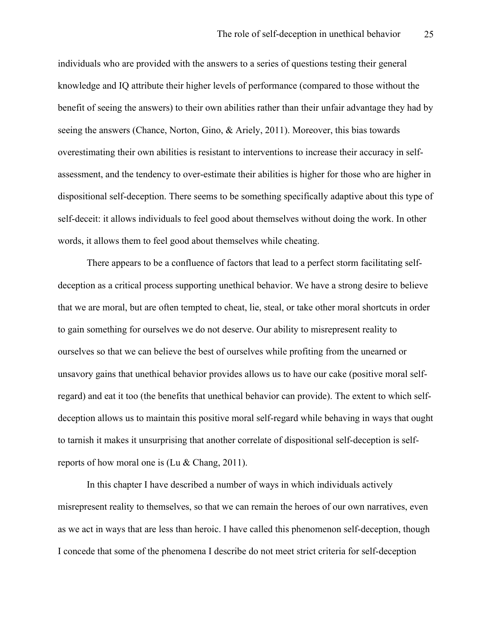individuals who are provided with the answers to a series of questions testing their general knowledge and IQ attribute their higher levels of performance (compared to those without the benefit of seeing the answers) to their own abilities rather than their unfair advantage they had by seeing the answers (Chance, Norton, Gino, & Ariely, 2011). Moreover, this bias towards overestimating their own abilities is resistant to interventions to increase their accuracy in selfassessment, and the tendency to over-estimate their abilities is higher for those who are higher in dispositional self-deception. There seems to be something specifically adaptive about this type of self-deceit: it allows individuals to feel good about themselves without doing the work. In other words, it allows them to feel good about themselves while cheating.

There appears to be a confluence of factors that lead to a perfect storm facilitating selfdeception as a critical process supporting unethical behavior. We have a strong desire to believe that we are moral, but are often tempted to cheat, lie, steal, or take other moral shortcuts in order to gain something for ourselves we do not deserve. Our ability to misrepresent reality to ourselves so that we can believe the best of ourselves while profiting from the unearned or unsavory gains that unethical behavior provides allows us to have our cake (positive moral selfregard) and eat it too (the benefits that unethical behavior can provide). The extent to which selfdeception allows us to maintain this positive moral self-regard while behaving in ways that ought to tarnish it makes it unsurprising that another correlate of dispositional self-deception is selfreports of how moral one is (Lu & Chang, 2011).

In this chapter I have described a number of ways in which individuals actively misrepresent reality to themselves, so that we can remain the heroes of our own narratives, even as we act in ways that are less than heroic. I have called this phenomenon self-deception, though I concede that some of the phenomena I describe do not meet strict criteria for self-deception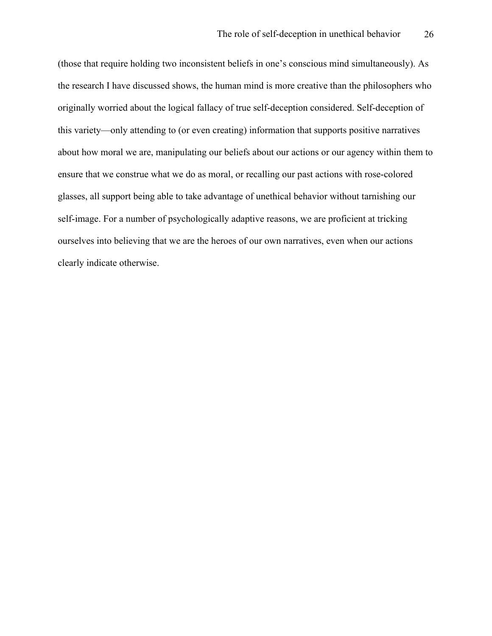(those that require holding two inconsistent beliefs in one's conscious mind simultaneously). As the research I have discussed shows, the human mind is more creative than the philosophers who originally worried about the logical fallacy of true self-deception considered. Self-deception of this variety—only attending to (or even creating) information that supports positive narratives about how moral we are, manipulating our beliefs about our actions or our agency within them to ensure that we construe what we do as moral, or recalling our past actions with rose-colored glasses, all support being able to take advantage of unethical behavior without tarnishing our self-image. For a number of psychologically adaptive reasons, we are proficient at tricking ourselves into believing that we are the heroes of our own narratives, even when our actions clearly indicate otherwise.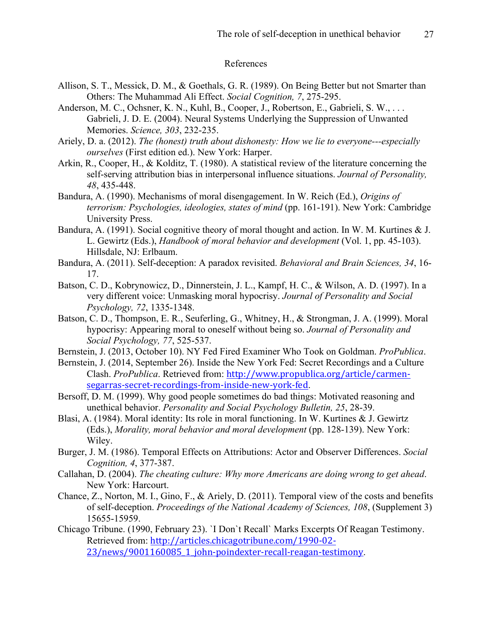### References

- Allison, S. T., Messick, D. M., & Goethals, G. R. (1989). On Being Better but not Smarter than Others: The Muhammad Ali Effect. *Social Cognition, 7*, 275-295.
- Anderson, M. C., Ochsner, K. N., Kuhl, B., Cooper, J., Robertson, E., Gabrieli, S. W., ... Gabrieli, J. D. E. (2004). Neural Systems Underlying the Suppression of Unwanted Memories. *Science, 303*, 232-235.
- Ariely, D. a. (2012). *The (honest) truth about dishonesty: How we lie to everyone---especially ourselves* (First edition ed.). New York: Harper.
- Arkin, R., Cooper, H., & Kolditz, T. (1980). A statistical review of the literature concerning the self-serving attribution bias in interpersonal influence situations. *Journal of Personality, 48*, 435-448.
- Bandura, A. (1990). Mechanisms of moral disengagement. In W. Reich (Ed.), *Origins of terrorism: Psychologies, ideologies, states of mind* (pp. 161-191). New York: Cambridge University Press.
- Bandura, A. (1991). Social cognitive theory of moral thought and action. In W. M. Kurtines & J. L. Gewirtz (Eds.), *Handbook of moral behavior and development* (Vol. 1, pp. 45-103). Hillsdale, NJ: Erlbaum.
- Bandura, A. (2011). Self-deception: A paradox revisited. *Behavioral and Brain Sciences, 34*, 16- 17.
- Batson, C. D., Kobrynowicz, D., Dinnerstein, J. L., Kampf, H. C., & Wilson, A. D. (1997). In a very different voice: Unmasking moral hypocrisy. *Journal of Personality and Social Psychology, 72*, 1335-1348.
- Batson, C. D., Thompson, E. R., Seuferling, G., Whitney, H., & Strongman, J. A. (1999). Moral hypocrisy: Appearing moral to oneself without being so. *Journal of Personality and Social Psychology, 77*, 525-537.
- Bernstein, J. (2013, October 10). NY Fed Fired Examiner Who Took on Goldman. *ProPublica*.
- Bernstein, J. (2014, September 26). Inside the New York Fed: Secret Recordings and a Culture Clash. *ProPublica*. Retrieved from: http://www.propublica.org/article/carmensegarras-secret-recordings-from-inside-new-york-fed.
- Bersoff, D. M. (1999). Why good people sometimes do bad things: Motivated reasoning and unethical behavior. *Personality and Social Psychology Bulletin, 25*, 28-39.
- Blasi, A. (1984). Moral identity: Its role in moral functioning. In W. Kurtines & J. Gewirtz (Eds.), *Morality, moral behavior and moral development* (pp. 128-139). New York: Wiley.
- Burger, J. M. (1986). Temporal Effects on Attributions: Actor and Observer Differences. *Social Cognition, 4*, 377-387.
- Callahan, D. (2004). *The cheating culture: Why more Americans are doing wrong to get ahead*. New York: Harcourt.
- Chance, Z., Norton, M. I., Gino, F., & Ariely, D. (2011). Temporal view of the costs and benefits of self-deception. *Proceedings of the National Academy of Sciences, 108*, (Supplement 3) 15655-15959.
- Chicago Tribune. (1990, February 23). `I Don`t Recall` Marks Excerpts Of Reagan Testimony. Retrieved from: http://articles.chicagotribune.com/1990-02- 23/news/9001160085\_1\_john-poindexter-recall-reagan-testimony.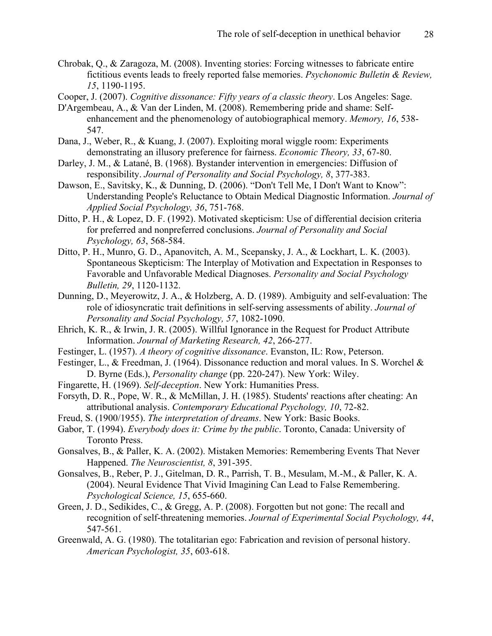- Chrobak, Q., & Zaragoza, M. (2008). Inventing stories: Forcing witnesses to fabricate entire fictitious events leads to freely reported false memories. *Psychonomic Bulletin & Review, 15*, 1190-1195.
- Cooper, J. (2007). *Cognitive dissonance: Fifty years of a classic theory*. Los Angeles: Sage.
- D'Argembeau, A., & Van der Linden, M. (2008). Remembering pride and shame: Selfenhancement and the phenomenology of autobiographical memory. *Memory, 16*, 538- 547.
- Dana, J., Weber, R., & Kuang, J. (2007). Exploiting moral wiggle room: Experiments demonstrating an illusory preference for fairness. *Economic Theory, 33*, 67-80.
- Darley, J. M., & Latané, B. (1968). Bystander intervention in emergencies: Diffusion of responsibility. *Journal of Personality and Social Psychology, 8*, 377-383.
- Dawson, E., Savitsky, K., & Dunning, D. (2006). "Don't Tell Me, I Don't Want to Know": Understanding People's Reluctance to Obtain Medical Diagnostic Information. *Journal of Applied Social Psychology, 36*, 751-768.
- Ditto, P. H., & Lopez, D. F. (1992). Motivated skepticism: Use of differential decision criteria for preferred and nonpreferred conclusions. *Journal of Personality and Social Psychology, 63*, 568-584.
- Ditto, P. H., Munro, G. D., Apanovitch, A. M., Scepansky, J. A., & Lockhart, L. K. (2003). Spontaneous Skepticism: The Interplay of Motivation and Expectation in Responses to Favorable and Unfavorable Medical Diagnoses. *Personality and Social Psychology Bulletin, 29*, 1120-1132.
- Dunning, D., Meyerowitz, J. A., & Holzberg, A. D. (1989). Ambiguity and self-evaluation: The role of idiosyncratic trait definitions in self-serving assessments of ability. *Journal of Personality and Social Psychology, 57*, 1082-1090.
- Ehrich, K. R., & Irwin, J. R. (2005). Willful Ignorance in the Request for Product Attribute Information. *Journal of Marketing Research, 42*, 266-277.
- Festinger, L. (1957). *A theory of cognitive dissonance*. Evanston, IL: Row, Peterson.
- Festinger, L., & Freedman, J. (1964). Dissonance reduction and moral values. In S. Worchel & D. Byrne (Eds.), *Personality change* (pp. 220-247). New York: Wiley.
- Fingarette, H. (1969). *Self-deception*. New York: Humanities Press.
- Forsyth, D. R., Pope, W. R., & McMillan, J. H. (1985). Students' reactions after cheating: An attributional analysis. *Contemporary Educational Psychology, 10*, 72-82.
- Freud, S. (1900/1955). *The interpretation of dreams*. New York: Basic Books.
- Gabor, T. (1994). *Everybody does it: Crime by the public*. Toronto, Canada: University of Toronto Press.
- Gonsalves, B., & Paller, K. A. (2002). Mistaken Memories: Remembering Events That Never Happened. *The Neuroscientist, 8*, 391-395.
- Gonsalves, B., Reber, P. J., Gitelman, D. R., Parrish, T. B., Mesulam, M.-M., & Paller, K. A. (2004). Neural Evidence That Vivid Imagining Can Lead to False Remembering. *Psychological Science, 15*, 655-660.
- Green, J. D., Sedikides, C., & Gregg, A. P. (2008). Forgotten but not gone: The recall and recognition of self-threatening memories. *Journal of Experimental Social Psychology, 44*, 547-561.
- Greenwald, A. G. (1980). The totalitarian ego: Fabrication and revision of personal history. *American Psychologist, 35*, 603-618.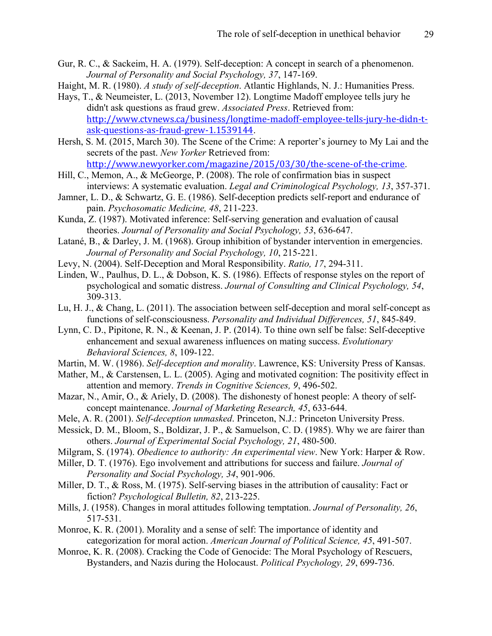- Gur, R. C., & Sackeim, H. A. (1979). Self-deception: A concept in search of a phenomenon. *Journal of Personality and Social Psychology, 37*, 147-169.
- Haight, M. R. (1980). *A study of self-deception*. Atlantic Highlands, N. J.: Humanities Press.
- Hays, T., & Neumeister, L. (2013, November 12). Longtime Madoff employee tells jury he didn't ask questions as fraud grew. *Associated Press*. Retrieved from: http://www.ctvnews.ca/business/longtime-madoff-employee-tells-jury-he-didn-task-questions-as-fraud-grew-1.1539144.
- Hersh, S. M. (2015, March 30). The Scene of the Crime: A reporter's journey to My Lai and the secrets of the past. *New Yorker* Retrieved from: http://www.newyorker.com/magazine/2015/03/30/the-scene-of-the-crime.
- Hill, C., Memon, A., & McGeorge, P. (2008). The role of confirmation bias in suspect interviews: A systematic evaluation. *Legal and Criminological Psychology, 13*, 357-371.
- Jamner, L. D., & Schwartz, G. E. (1986). Self-deception predicts self-report and endurance of pain. *Psychosomatic Medicine, 48*, 211-223.
- Kunda, Z. (1987). Motivated inference: Self-serving generation and evaluation of causal theories. *Journal of Personality and Social Psychology, 53*, 636-647.
- Latané, B., & Darley, J. M. (1968). Group inhibition of bystander intervention in emergencies. *Journal of Personality and Social Psychology, 10*, 215-221.
- Levy, N. (2004). Self-Deception and Moral Responsibility. *Ratio, 17*, 294-311.
- Linden, W., Paulhus, D. L., & Dobson, K. S. (1986). Effects of response styles on the report of psychological and somatic distress. *Journal of Consulting and Clinical Psychology, 54*, 309-313.
- Lu, H. J., & Chang, L. (2011). The association between self-deception and moral self-concept as functions of self-consciousness. *Personality and Individual Differences, 51*, 845-849.
- Lynn, C. D., Pipitone, R. N., & Keenan, J. P. (2014). To thine own self be false: Self-deceptive enhancement and sexual awareness influences on mating success. *Evolutionary Behavioral Sciences, 8*, 109-122.
- Martin, M. W. (1986). *Self-deception and morality*. Lawrence, KS: University Press of Kansas.
- Mather, M., & Carstensen, L. L. (2005). Aging and motivated cognition: The positivity effect in attention and memory. *Trends in Cognitive Sciences, 9*, 496-502.
- Mazar, N., Amir, O., & Ariely, D. (2008). The dishonesty of honest people: A theory of selfconcept maintenance. *Journal of Marketing Research, 45*, 633-644.
- Mele, A. R. (2001). *Self-deception unmasked*. Princeton, N.J.: Princeton University Press.
- Messick, D. M., Bloom, S., Boldizar, J. P., & Samuelson, C. D. (1985). Why we are fairer than others. *Journal of Experimental Social Psychology, 21*, 480-500.
- Milgram, S. (1974). *Obedience to authority: An experimental view*. New York: Harper & Row.
- Miller, D. T. (1976). Ego involvement and attributions for success and failure. *Journal of Personality and Social Psychology, 34*, 901-906.
- Miller, D. T., & Ross, M. (1975). Self-serving biases in the attribution of causality: Fact or fiction? *Psychological Bulletin, 82*, 213-225.
- Mills, J. (1958). Changes in moral attitudes following temptation. *Journal of Personality, 26*, 517-531.
- Monroe, K. R. (2001). Morality and a sense of self: The importance of identity and categorization for moral action. *American Journal of Political Science, 45*, 491-507.
- Monroe, K. R. (2008). Cracking the Code of Genocide: The Moral Psychology of Rescuers, Bystanders, and Nazis during the Holocaust. *Political Psychology, 29*, 699-736.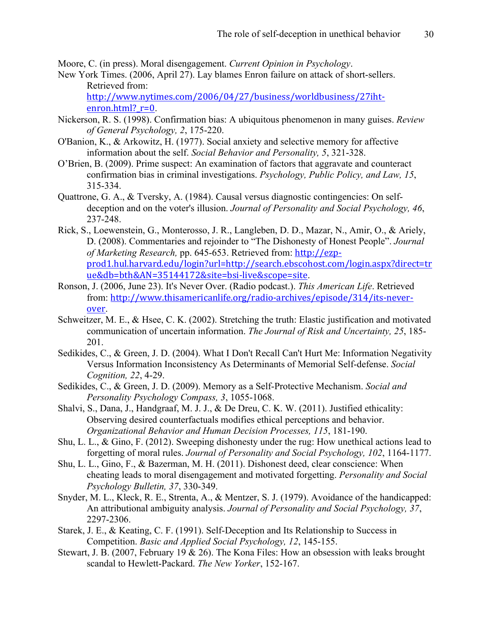Moore, C. (in press). Moral disengagement. *Current Opinion in Psychology*.

New York Times. (2006, April 27). Lay blames Enron failure on attack of short-sellers. Retrieved from:

http://www.nytimes.com/2006/04/27/business/worldbusiness/27iht $enron.html$ ?  $r=0$ .

- Nickerson, R. S. (1998). Confirmation bias: A ubiquitous phenomenon in many guises. *Review of General Psychology, 2*, 175-220.
- O'Banion, K., & Arkowitz, H. (1977). Social anxiety and selective memory for affective information about the self. *Social Behavior and Personality, 5*, 321-328.
- O'Brien, B. (2009). Prime suspect: An examination of factors that aggravate and counteract confirmation bias in criminal investigations. *Psychology, Public Policy, and Law, 15*, 315-334.
- Quattrone, G. A., & Tversky, A. (1984). Causal versus diagnostic contingencies: On selfdeception and on the voter's illusion. *Journal of Personality and Social Psychology, 46*, 237-248.
- Rick, S., Loewenstein, G., Monterosso, J. R., Langleben, D. D., Mazar, N., Amir, O., & Ariely, D. (2008). Commentaries and rejoinder to "The Dishonesty of Honest People". *Journal of Marketing Research,* pp. 645-653. Retrieved from: http://ezpprod1.hul.harvard.edu/login?url=http://search.ebscohost.com/login.aspx?direct=tr ue&db=bth&AN=35144172&site=bsi-live&scope=site.
- Ronson, J. (2006, June 23). It's Never Over. (Radio podcast.). *This American Life*. Retrieved from: http://www.thisamericanlife.org/radio-archives/episode/314/its-neverover.
- Schweitzer, M. E., & Hsee, C. K. (2002). Stretching the truth: Elastic justification and motivated communication of uncertain information. *The Journal of Risk and Uncertainty, 25*, 185- 201.
- Sedikides, C., & Green, J. D. (2004). What I Don't Recall Can't Hurt Me: Information Negativity Versus Information Inconsistency As Determinants of Memorial Self-defense. *Social Cognition, 22*, 4-29.
- Sedikides, C., & Green, J. D. (2009). Memory as a Self-Protective Mechanism. *Social and Personality Psychology Compass, 3*, 1055-1068.
- Shalvi, S., Dana, J., Handgraaf, M. J. J., & De Dreu, C. K. W. (2011). Justified ethicality: Observing desired counterfactuals modifies ethical perceptions and behavior. *Organizational Behavior and Human Decision Processes, 115*, 181-190.
- Shu, L. L., & Gino, F. (2012). Sweeping dishonesty under the rug: How unethical actions lead to forgetting of moral rules. *Journal of Personality and Social Psychology, 102*, 1164-1177.
- Shu, L. L., Gino, F., & Bazerman, M. H. (2011). Dishonest deed, clear conscience: When cheating leads to moral disengagement and motivated forgetting. *Personality and Social Psychology Bulletin, 37*, 330-349.
- Snyder, M. L., Kleck, R. E., Strenta, A., & Mentzer, S. J. (1979). Avoidance of the handicapped: An attributional ambiguity analysis. *Journal of Personality and Social Psychology, 37*, 2297-2306.
- Starek, J. E., & Keating, C. F. (1991). Self-Deception and Its Relationship to Success in Competition. *Basic and Applied Social Psychology, 12*, 145-155.
- Stewart, J. B. (2007, February 19 & 26). The Kona Files: How an obsession with leaks brought scandal to Hewlett-Packard. *The New Yorker*, 152-167.